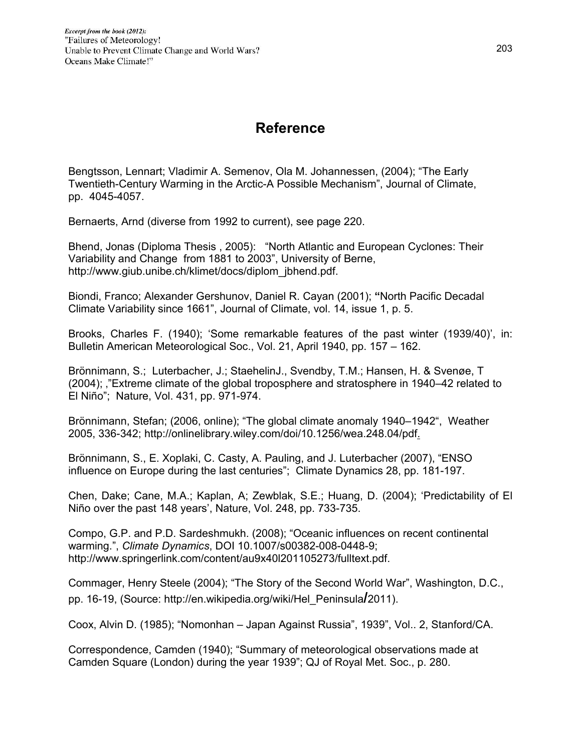## **Reference**

Bengtsson, Lennart; Vladimir A. Semenov, Ola M. Johannessen, (2004); "The Early Twentieth-Century Warming in the Arctic-A Possible Mechanism", Journal of Climate, pp. 4045-4057.

Bernaerts, Arnd (diverse from 1992 to current), see page 220.

Bhend, Jonas (Diploma Thesis , 2005): "North Atlantic and European Cyclones: Their Variability and Change from 1881 to 2003", University of Berne, http://www.giub.unibe.ch/klimet/docs/diplom\_jbhend.pdf.

Biondi, Franco; Alexander Gershunov, Daniel R. Cayan (2001); **"**North Pacific Decadal Climate Variability since 1661", Journal of Climate, vol. 14, issue 1, p. 5.

Brooks, Charles F. (1940); 'Some remarkable features of the past winter (1939/40)', in: Bulletin American Meteorological Soc., Vol. 21, April 1940, pp. 157 – 162.

Brönnimann, S.; Luterbacher, J.; StaehelinJ., Svendby, T.M.; Hansen, H. & Svenøe, T (2004); '"Extreme climate of the global troposphere and stratosphere in 1940–42 related to El Niño"; Nature, Vol. 431, pp. 971-974.

Brönnimann, Stefan; (2006, online); "The global climate anomaly 1940–1942", Weather 2005, 336-342; http://onlinelibrary.wiley.com/doi/10.1256/wea.248.04/pdf.

Brönnimann, S., E. Xoplaki, C. Casty, A. Pauling, and J. Luterbacher (2007), "ENSO influence on Europe during the last centuries"; Climate Dynamics 28, pp. 181-197.

Chen, Dake; Cane, M.A.; Kaplan, A; Zewblak, S.E.; Huang, D. (2004); 'Predictability of El Niño over the past 148 years', Nature, Vol. 248, pp. 733-735.

Compo, G.P. and P.D. Sardeshmukh. (2008); "Oceanic influences on recent continental warming.", *Climate Dynamics*, DOI 10.1007/s00382-008-0448-9; http://www.springerlink.com/content/au9x40l201105273/fulltext.pdf.

Commager, Henry Steele (2004); "The Story of the Second World War", Washington, D.C., pp. 16-19, (Source: http://en.wikipedia.org/wiki/Hel\_Peninsula**/**2011).

Coox, Alvin D. (1985); "Nomonhan – Japan Against Russia", 1939", Vol.. 2, Stanford/CA.

Correspondence, Camden (1940); "Summary of meteorological observations made at Camden Square (London) during the year 1939"; QJ of Royal Met. Soc., p. 280.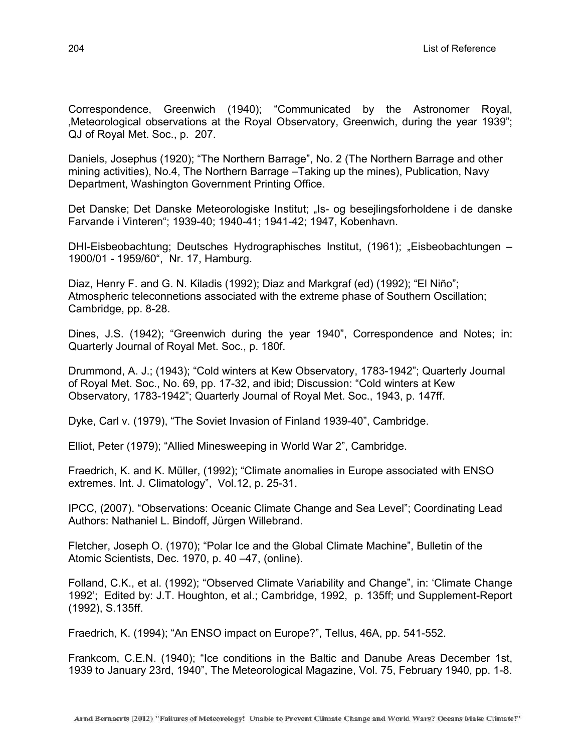Correspondence, Greenwich (1940); "Communicated by the Astronomer Royal, 'Meteorological observations at the Royal Observatory, Greenwich, during the year 1939"; QJ of Royal Met. Soc., p. 207.

Daniels, Josephus (1920); "The Northern Barrage", No. 2 (The Northern Barrage and other mining activities), No.4, The Northern Barrage –Taking up the mines), Publication, Navy Department, Washington Government Printing Office.

Det Danske; Det Danske Meteorologiske Institut; "Is- og besejlingsforholdene i de danske Farvande i Vinteren"; 1939-40; 1940-41; 1941-42; 1947, Kobenhavn.

DHI-Eisbeobachtung; Deutsches Hydrographisches Institut, (1961); "Eisbeobachtungen – 1900/01 - 1959/60", Nr. 17, Hamburg.

Diaz, Henry F. and G. N. Kiladis (1992); Diaz and Markgraf (ed) (1992); "El Niño"; Atmospheric teleconnetions associated with the extreme phase of Southern Oscillation; Cambridge, pp. 8-28.

Dines, J.S. (1942); "Greenwich during the year 1940", Correspondence and Notes; in: Quarterly Journal of Royal Met. Soc., p. 180f.

Drummond, A. J.; (1943); "Cold winters at Kew Observatory, 1783-1942"; Quarterly Journal of Royal Met. Soc., No. 69, pp. 17-32, and ibid; Discussion: "Cold winters at Kew Observatory, 1783-1942"; Quarterly Journal of Royal Met. Soc., 1943, p. 147ff.

Dyke, Carl v. (1979), "The Soviet Invasion of Finland 1939-40", Cambridge.

Elliot, Peter (1979); "Allied Minesweeping in World War 2", Cambridge.

Fraedrich, K. and K. Müller, (1992); "Climate anomalies in Europe associated with ENSO extremes. Int. J. Climatology", Vol.12, p. 25-31.

IPCC, (2007). "Observations: Oceanic Climate Change and Sea Level"; Coordinating Lead Authors: Nathaniel L. Bindoff, Jürgen Willebrand.

Fletcher, Joseph O. (1970); "Polar Ice and the Global Climate Machine", Bulletin of the Atomic Scientists, Dec. 1970, p. 40 –47, (online).

Folland, C.K., et al. (1992); "Observed Climate Variability and Change", in: 'Climate Change 1992'; Edited by: J.T. Houghton, et al.; Cambridge, 1992, p. 135ff; und Supplement-Report (1992), S.135ff.

Fraedrich, K. (1994); "An ENSO impact on Europe?", Tellus, 46A, pp. 541-552.

Frankcom, C.E.N. (1940); "Ice conditions in the Baltic and Danube Areas December 1st, 1939 to January 23rd, 1940", The Meteorological Magazine, Vol. 75, February 1940, pp. 1-8.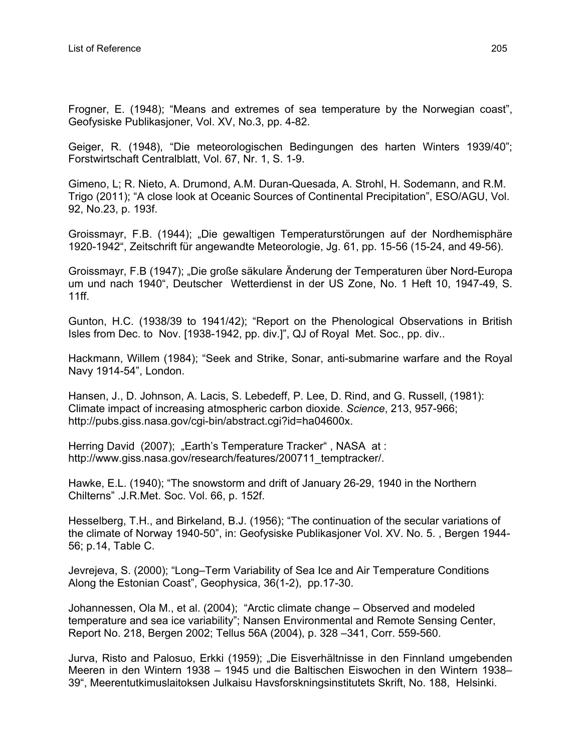Frogner, E. (1948); "Means and extremes of sea temperature by the Norwegian coast", Geofysiske Publikasjoner, Vol. XV, No.3, pp. 4-82.

Geiger, R. (1948), "Die meteorologischen Bedingungen des harten Winters 1939/40"; Forstwirtschaft Centralblatt, Vol. 67, Nr. 1, S. 1-9.

Gimeno, L; R. Nieto, A. Drumond, A.M. Duran-Quesada, A. Strohl, H. Sodemann, and R.M. Trigo (2011); "A close look at Oceanic Sources of Continental Precipitation", ESO/AGU, Vol. 92, No.23, p. 193f.

Groissmayr, F.B. (1944); "Die gewaltigen Temperaturstörungen auf der Nordhemisphäre 1920-1942", Zeitschrift für angewandte Meteorologie, Jg. 61, pp. 15-56 (15-24, and 49-56).

Groissmayr, F.B (1947); "Die große säkulare Änderung der Temperaturen über Nord-Europa um und nach 1940", Deutscher Wetterdienst in der US Zone, No. 1 Heft 10, 1947-49, S. 11ff.

Gunton, H.C. (1938/39 to 1941/42); "Report on the Phenological Observations in British Isles from Dec. to Nov. [1938-1942, pp. div.]", QJ of Royal Met. Soc., pp. div..

Hackmann, Willem (1984); "Seek and Strike, Sonar, anti-submarine warfare and the Royal Navy 1914-54", London.

Hansen, J., D. Johnson, A. Lacis, S. Lebedeff, P. Lee, D. Rind, and G. Russell, (1981): Climate impact of increasing atmospheric carbon dioxide. *Science*, 213, 957-966; http://pubs.giss.nasa.gov/cgi-bin/abstract.cgi?id=ha04600x.

Herring David (2007); "Earth's Temperature Tracker", NASA at : http://www.giss.nasa.gov/research/features/200711\_temptracker/.

Hawke, E.L. (1940); "The snowstorm and drift of January 26-29, 1940 in the Northern Chilterns" .J.R.Met. Soc. Vol. 66, p. 152f.

Hesselberg, T.H., and Birkeland, B.J. (1956); "The continuation of the secular variations of the climate of Norway 1940-50", in: Geofysiske Publikasjoner Vol. XV. No. 5. , Bergen 1944- 56; p.14, Table C.

Jevrejeva, S. (2000); "Long–Term Variability of Sea Ice and Air Temperature Conditions Along the Estonian Coast", Geophysica, 36(1-2), pp.17-30.

Johannessen, Ola M., et al. (2004); "Arctic climate change – Observed and modeled temperature and sea ice variability"; Nansen Environmental and Remote Sensing Center, Report No. 218, Bergen 2002; Tellus 56A (2004), p. 328 –341, Corr. 559-560.

Jurva, Risto and Palosuo, Erkki (1959); "Die Eisverhältnisse in den Finnland umgebenden Meeren in den Wintern 1938 – 1945 und die Baltischen Eiswochen in den Wintern 1938– 39", Meerentutkimuslaitoksen Julkaisu Havsforskningsinstitutets Skrift, No. 188, Helsinki.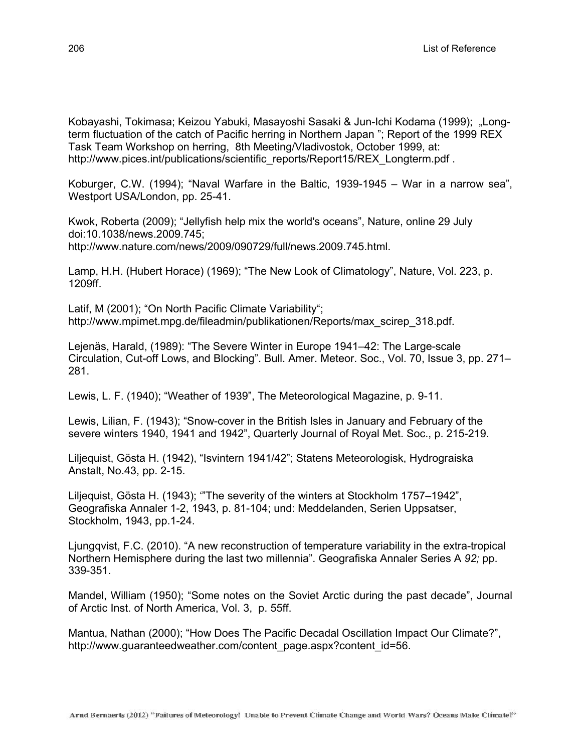Kobayashi, Tokimasa; Keizou Yabuki, Masayoshi Sasaki & Jun-Ichi Kodama (1999); "Longterm fluctuation of the catch of Pacific herring in Northern Japan "; Report of the 1999 REX Task Team Workshop on herring, 8th Meeting/Vladivostok, October 1999, at: http://www.pices.int/publications/scientific\_reports/Report15/REX\_Longterm.pdf .

Koburger, C.W. (1994); "Naval Warfare in the Baltic, 1939-1945 – War in a narrow sea", Westport USA/London, pp. 25-41.

Kwok, Roberta (2009); "Jellyfish help mix the world's oceans", Nature, online 29 July doi:10.1038/news.2009.745; http://www.nature.com/news/2009/090729/full/news.2009.745.html.

Lamp, H.H. (Hubert Horace) (1969); "The New Look of Climatology", Nature, Vol. 223, p. 1209ff.

Latif, M (2001); "On North Pacific Climate Variability"; http://www.mpimet.mpg.de/fileadmin/publikationen/Reports/max\_scirep\_318.pdf.

Lejenäs, Harald, (1989): "The Severe Winter in Europe 1941–42: The Large-scale Circulation, Cut-off Lows, and Blocking". Bull. Amer. Meteor. Soc., Vol. 70, Issue 3, pp. 271– 281.

Lewis, L. F. (1940); "Weather of 1939", The Meteorological Magazine, p. 9-11.

Lewis, Lilian, F. (1943); "Snow-cover in the British Isles in January and February of the severe winters 1940, 1941 and 1942", Quarterly Journal of Royal Met. Soc., p. 215-219.

Liljequist, Gösta H. (1942), "Isvintern 1941/42"; Statens Meteorologisk, Hydrograiska Anstalt, No.43, pp. 2-15.

Liljequist, Gösta H. (1943); '"The severity of the winters at Stockholm 1757–1942", Geografiska Annaler 1-2, 1943, p. 81-104; und: Meddelanden, Serien Uppsatser, Stockholm, 1943, pp.1-24.

Ljungqvist, F.C. (2010). "A new reconstruction of temperature variability in the extra-tropical Northern Hemisphere during the last two millennia". Geografiska Annaler Series A *92;* pp. 339-351.

Mandel, William (1950); "Some notes on the Soviet Arctic during the past decade", Journal of Arctic Inst. of North America, Vol. 3, p. 55ff.

Mantua, Nathan (2000); "How Does The Pacific Decadal Oscillation Impact Our Climate?", http://www.quaranteedweather.com/content\_page.aspx?content\_id=56.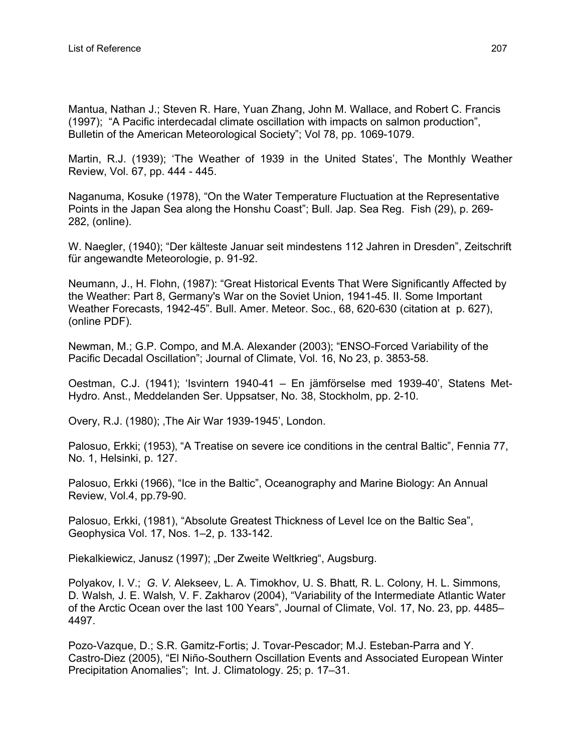Mantua, Nathan J.; Steven R. Hare, Yuan Zhang, John M. Wallace, and Robert C. Francis (1997); "A Pacific interdecadal climate oscillation with impacts on salmon production", Bulletin of the American Meteorological Society"; Vol 78, pp. 1069-1079.

Martin, R.J. (1939); 'The Weather of 1939 in the United States', The Monthly Weather Review, Vol. 67, pp. 444 - 445.

Naganuma, Kosuke (1978), "On the Water Temperature Fluctuation at the Representative Points in the Japan Sea along the Honshu Coast"; Bull. Jap. Sea Reg. Fish (29), p. 269- 282, (online).

W. Naegler, (1940); "Der kälteste Januar seit mindestens 112 Jahren in Dresden", Zeitschrift für angewandte Meteorologie, p. 91-92.

Neumann, J., H. Flohn, (1987): "Great Historical Events That Were Significantly Affected by the Weather: Part 8, Germany's War on the Soviet Union, 1941-45. II. Some Important Weather Forecasts, 1942-45". Bull. Amer. Meteor. Soc., 68, 620-630 (citation at p. 627), (online PDF).

Newman, M.; G.P. Compo, and M.A. Alexander (2003); "ENSO-Forced Variability of the Pacific Decadal Oscillation"; Journal of Climate, Vol. 16, No 23, p. 3853-58.

Oestman, C.J. (1941); 'Isvintern 1940-41 – En jämförselse med 1939-40', Statens Met-Hydro. Anst., Meddelanden Ser. Uppsatser, No. 38, Stockholm, pp. 2-10.

Overy, R.J. (1980); The Air War 1939-1945', London.

Palosuo, Erkki; (1953), "A Treatise on severe ice conditions in the central Baltic", Fennia 77, No. 1, Helsinki, p. 127.

Palosuo, Erkki (1966), "Ice in the Baltic", Oceanography and Marine Biology: An Annual Review, Vol.4, pp.79-90.

Palosuo, Erkki, (1981), "Absolute Greatest Thickness of Level Ice on the Baltic Sea", Geophysica Vol. 17, Nos. 1–2, p. 133-142.

Piekalkiewicz, Janusz (1997); "Der Zweite Weltkrieg", Augsburg.

Polyakov*,* I. V.; *G. V.* Alekseev*,* L. A. Timokhov*,* U. S. Bhatt*,* R. L. Colony*,* H. L. Simmons*,*  D*.* Walsh*,* J. E. Walsh*,* V. F. Zakharov (2004), "Variability of the Intermediate Atlantic Water of the Arctic Ocean over the last 100 Years", Journal of Climate, Vol. 17, No. 23, pp. 4485– 4497.

Pozo-Vazque, D.; S.R. Gamitz-Fortis; J. Tovar-Pescador; M.J. Esteban-Parra and Y. Castro-Diez (2005), "El Niño-Southern Oscillation Events and Associated European Winter Precipitation Anomalies"; Int. J. Climatology. 25; p. 17–31.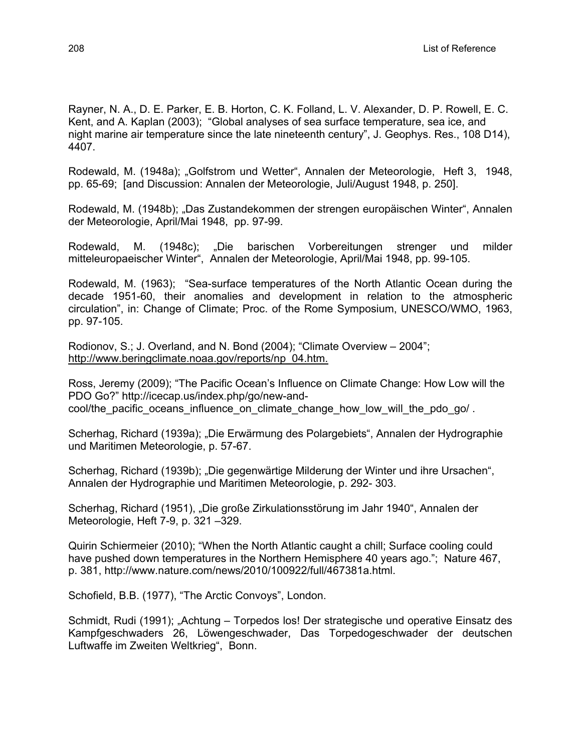Rayner, N. A., D. E. Parker, E. B. Horton, C. K. Folland, L. V. Alexander, D. P. Rowell, E. C. Kent, and A. Kaplan (2003); "Global analyses of sea surface temperature, sea ice, and night marine air temperature since the late nineteenth century", J. Geophys. Res., 108 D14), 4407.

Rodewald, M. (1948a); "Golfstrom und Wetter", Annalen der Meteorologie, Heft 3, 1948, pp. 65-69; [and Discussion: Annalen der Meteorologie, Juli/August 1948, p. 250].

Rodewald, M. (1948b); "Das Zustandekommen der strengen europäischen Winter", Annalen der Meteorologie, April/Mai 1948, pp. 97-99.

Rodewald, M. (1948c); "Die barischen Vorbereitungen strenger und milder mitteleuropaeischer Winter", Annalen der Meteorologie, April/Mai 1948, pp. 99-105.

Rodewald, M. (1963); "Sea-surface temperatures of the North Atlantic Ocean during the decade 1951-60, their anomalies and development in relation to the atmospheric circulation", in: Change of Climate; Proc. of the Rome Symposium, UNESCO/WMO, 1963, pp. 97-105.

Rodionov, S.; J. Overland, and N. Bond (2004); "Climate Overview – 2004"; http://www.beringclimate.noaa.gov/reports/np\_04.htm.

Ross, Jeremy (2009); "The Pacific Ocean's Influence on Climate Change: How Low will the PDO Go?" http://icecap.us/index.php/go/new-andcool/the pacific oceans influence on climate change how low will the pdo go/.

Scherhag, Richard (1939a); "Die Erwärmung des Polargebiets", Annalen der Hydrographie und Maritimen Meteorologie, p. 57-67.

Scherhag, Richard (1939b); "Die gegenwärtige Milderung der Winter und ihre Ursachen", Annalen der Hydrographie und Maritimen Meteorologie, p. 292- 303.

Scherhag, Richard (1951), "Die große Zirkulationsstörung im Jahr 1940", Annalen der Meteorologie, Heft 7-9, p. 321 –329.

Quirin Schiermeier (2010); "When the North Atlantic caught a chill; Surface cooling could have pushed down temperatures in the Northern Hemisphere 40 years ago."; Nature 467, p. 381, http://www.nature.com/news/2010/100922/full/467381a.html.

Schofield, B.B. (1977), "The Arctic Convoys", London.

Schmidt, Rudi (1991); "Achtung – Torpedos los! Der strategische und operative Einsatz des Kampfgeschwaders 26, Löwengeschwader, Das Torpedogeschwader der deutschen Luftwaffe im Zweiten Weltkrieg", Bonn.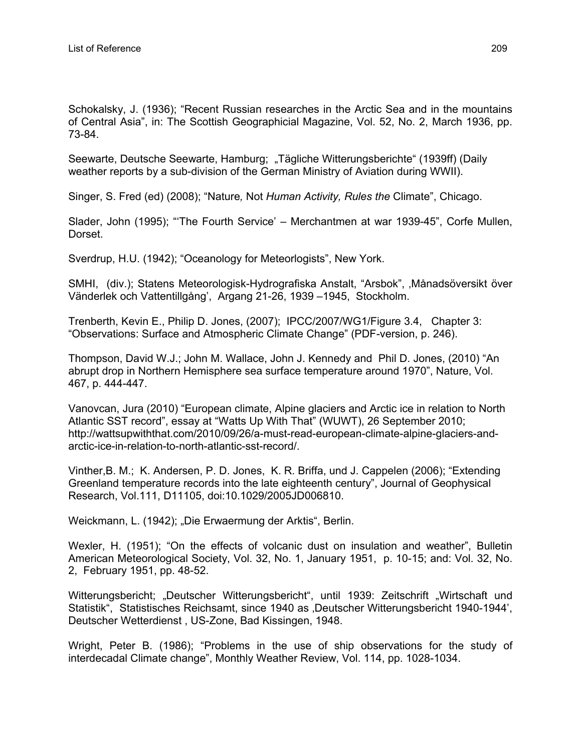Schokalsky, J. (1936); "Recent Russian researches in the Arctic Sea and in the mountains of Central Asia", in: The Scottish Geographicial Magazine, Vol. 52, No. 2, March 1936, pp. 73-84.

Seewarte, Deutsche Seewarte, Hamburg; "Tägliche Witterungsberichte" (1939ff) (Daily weather reports by a sub-division of the German Ministry of Aviation during WWII).

Singer, S. Fred (ed) (2008); "Nature*,* Not *Human Activity, Rules the* Climate", Chicago.

Slader, John (1995); "'The Fourth Service' – Merchantmen at war 1939-45", Corfe Mullen, Dorset.

Sverdrup, H.U. (1942); "Oceanology for Meteorlogists", New York.

SMHI, (div.); Statens Meteorologisk-Hydrografiska Anstalt, "Arsbok", 'Månadsöversikt över Vänderlek och Vattentillgång', Argang 21-26, 1939 –1945, Stockholm.

Trenberth, Kevin E., Philip D. Jones, (2007); IPCC/2007/WG1/Figure 3.4, Chapter 3: "Observations: Surface and Atmospheric Climate Change" (PDF-version, p. 246).

Thompson, David W.J.; John M. Wallace, John J. Kennedy and Phil D. Jones, (2010) "An abrupt drop in Northern Hemisphere sea surface temperature around 1970", Nature, Vol. 467, p. 444-447.

Vanovcan, Jura (2010) "European climate, Alpine glaciers and Arctic ice in relation to North Atlantic SST record", essay at "Watts Up With That" (WUWT), 26 September 2010; http://wattsupwiththat.com/2010/09/26/a-must-read-european-climate-alpine-glaciers-andarctic-ice-in-relation-to-north-atlantic-sst-record/.

Vinther,B. M.; K. Andersen, P. D. Jones, K. R. Briffa, und J. Cappelen (2006); "Extending Greenland temperature records into the late eighteenth century", Journal of Geophysical Research, Vol.111, D11105, doi:10.1029/2005JD006810.

Weickmann, L. (1942); "Die Erwaermung der Arktis", Berlin.

Wexler, H. (1951); "On the effects of volcanic dust on insulation and weather", Bulletin American Meteorological Society, Vol. 32, No. 1, January 1951, p. 10-15; and: Vol. 32, No. 2, February 1951, pp. 48-52.

Witterungsbericht; "Deutscher Witterungsbericht", until 1939: Zeitschrift "Wirtschaft und Statistik", Statistisches Reichsamt, since 1940 as 'Deutscher Witterungsbericht 1940-1944', Deutscher Wetterdienst , US-Zone, Bad Kissingen, 1948.

Wright, Peter B. (1986); "Problems in the use of ship observations for the study of interdecadal Climate change", Monthly Weather Review, Vol. 114, pp. 1028-1034.